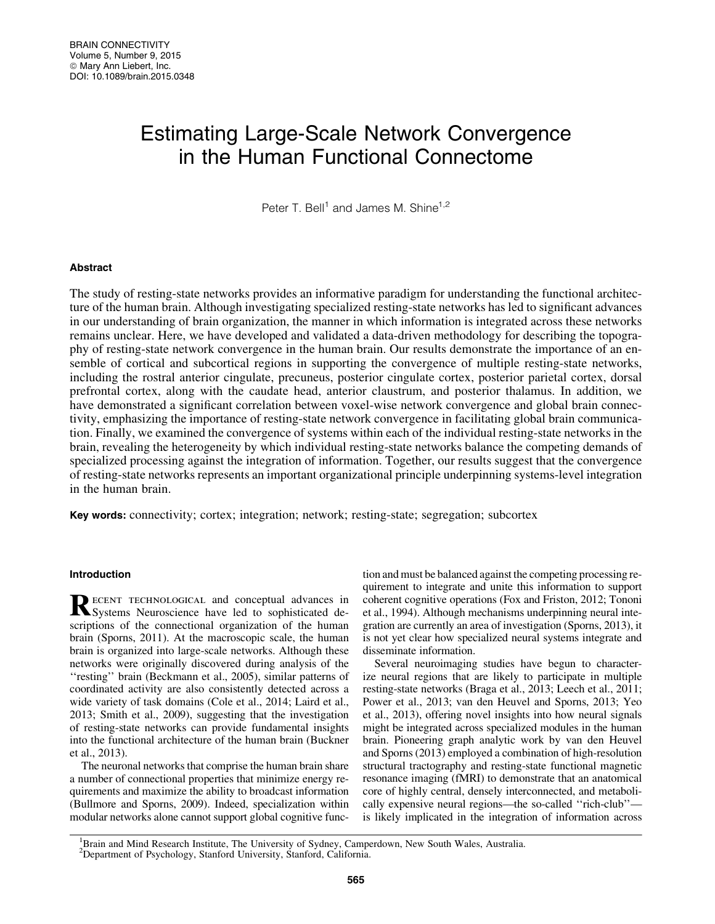# Estimating Large-Scale Network Convergence in the Human Functional Connectome

Peter T. Bell<sup>1</sup> and James M. Shine<sup>1,2</sup>

#### Abstract

The study of resting-state networks provides an informative paradigm for understanding the functional architecture of the human brain. Although investigating specialized resting-state networks has led to significant advances in our understanding of brain organization, the manner in which information is integrated across these networks remains unclear. Here, we have developed and validated a data-driven methodology for describing the topography of resting-state network convergence in the human brain. Our results demonstrate the importance of an ensemble of cortical and subcortical regions in supporting the convergence of multiple resting-state networks, including the rostral anterior cingulate, precuneus, posterior cingulate cortex, posterior parietal cortex, dorsal prefrontal cortex, along with the caudate head, anterior claustrum, and posterior thalamus. In addition, we have demonstrated a significant correlation between voxel-wise network convergence and global brain connectivity, emphasizing the importance of resting-state network convergence in facilitating global brain communication. Finally, we examined the convergence of systems within each of the individual resting-state networks in the brain, revealing the heterogeneity by which individual resting-state networks balance the competing demands of specialized processing against the integration of information. Together, our results suggest that the convergence of resting-state networks represents an important organizational principle underpinning systems-level integration in the human brain.

Key words: connectivity; cortex; integration; network; resting-state; segregation; subcortex

## Introduction

RECENT TECHNOLOGICAL and conceptual advances in Systems Neuroscience have led to sophisticated descriptions of the connectional organization of the human brain (Sporns, 2011). At the macroscopic scale, the human brain is organized into large-scale networks. Although these networks were originally discovered during analysis of the ''resting'' brain (Beckmann et al., 2005), similar patterns of coordinated activity are also consistently detected across a wide variety of task domains (Cole et al., 2014; Laird et al., 2013; Smith et al., 2009), suggesting that the investigation of resting-state networks can provide fundamental insights into the functional architecture of the human brain (Buckner et al., 2013).

The neuronal networks that comprise the human brain share a number of connectional properties that minimize energy requirements and maximize the ability to broadcast information (Bullmore and Sporns, 2009). Indeed, specialization within modular networks alone cannot support global cognitive function and must be balanced against the competing processing requirement to integrate and unite this information to support coherent cognitive operations (Fox and Friston, 2012; Tononi et al., 1994). Although mechanisms underpinning neural integration are currently an area of investigation (Sporns, 2013), it is not yet clear how specialized neural systems integrate and disseminate information.

Several neuroimaging studies have begun to characterize neural regions that are likely to participate in multiple resting-state networks (Braga et al., 2013; Leech et al., 2011; Power et al., 2013; van den Heuvel and Sporns, 2013; Yeo et al., 2013), offering novel insights into how neural signals might be integrated across specialized modules in the human brain. Pioneering graph analytic work by van den Heuvel and Sporns (2013) employed a combination of high-resolution structural tractography and resting-state functional magnetic resonance imaging (fMRI) to demonstrate that an anatomical core of highly central, densely interconnected, and metabolically expensive neural regions—the so-called ''rich-club'' is likely implicated in the integration of information across

<sup>1</sup>Brain and Mind Research Institute, The University of Sydney, Camperdown, New South Wales, Australia.

<sup>&</sup>lt;sup>2</sup>Department of Psychology, Stanford University, Stanford, California.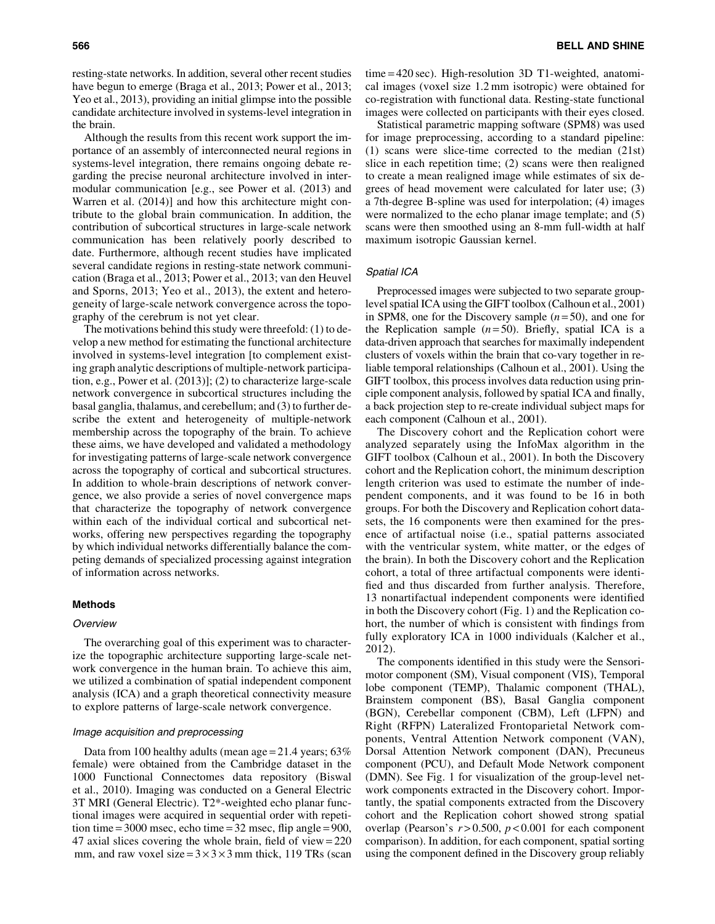resting-state networks. In addition, several other recent studies have begun to emerge (Braga et al., 2013; Power et al., 2013; Yeo et al., 2013), providing an initial glimpse into the possible candidate architecture involved in systems-level integration in the brain.

Although the results from this recent work support the importance of an assembly of interconnected neural regions in systems-level integration, there remains ongoing debate regarding the precise neuronal architecture involved in intermodular communication [e.g., see Power et al. (2013) and Warren et al. (2014)] and how this architecture might contribute to the global brain communication. In addition, the contribution of subcortical structures in large-scale network communication has been relatively poorly described to date. Furthermore, although recent studies have implicated several candidate regions in resting-state network communication (Braga et al., 2013; Power et al., 2013; van den Heuvel and Sporns, 2013; Yeo et al., 2013), the extent and heterogeneity of large-scale network convergence across the topography of the cerebrum is not yet clear.

The motivations behind this study were threefold: (1) to develop a new method for estimating the functional architecture involved in systems-level integration [to complement existing graph analytic descriptions of multiple-network participation, e.g., Power et al. (2013)]; (2) to characterize large-scale network convergence in subcortical structures including the basal ganglia, thalamus, and cerebellum; and (3) to further describe the extent and heterogeneity of multiple-network membership across the topography of the brain. To achieve these aims, we have developed and validated a methodology for investigating patterns of large-scale network convergence across the topography of cortical and subcortical structures. In addition to whole-brain descriptions of network convergence, we also provide a series of novel convergence maps that characterize the topography of network convergence within each of the individual cortical and subcortical networks, offering new perspectives regarding the topography by which individual networks differentially balance the competing demands of specialized processing against integration of information across networks.

## Methods

#### **Overview**

The overarching goal of this experiment was to characterize the topographic architecture supporting large-scale network convergence in the human brain. To achieve this aim, we utilized a combination of spatial independent component analysis (ICA) and a graph theoretical connectivity measure to explore patterns of large-scale network convergence.

#### Image acquisition and preprocessing

Data from 100 healthy adults (mean age  $= 21.4$  years; 63% female) were obtained from the Cambridge dataset in the 1000 Functional Connectomes data repository (Biswal et al., 2010). Imaging was conducted on a General Electric 3T MRI (General Electric). T2\*-weighted echo planar functional images were acquired in sequential order with repetition time =  $3000$  msec, echo time =  $32$  msec, flip angle =  $900$ , 47 axial slices covering the whole brain, field of view = 220 mm, and raw voxel size =  $3 \times 3 \times 3$  mm thick, 119 TRs (scan time = 420 sec). High-resolution 3D T1-weighted, anatomical images (voxel size 1.2 mm isotropic) were obtained for co-registration with functional data. Resting-state functional images were collected on participants with their eyes closed.

Statistical parametric mapping software (SPM8) was used for image preprocessing, according to a standard pipeline: (1) scans were slice-time corrected to the median (21st) slice in each repetition time; (2) scans were then realigned to create a mean realigned image while estimates of six degrees of head movement were calculated for later use; (3) a 7th-degree B-spline was used for interpolation; (4) images were normalized to the echo planar image template; and (5) scans were then smoothed using an 8-mm full-width at half maximum isotropic Gaussian kernel.

#### Spatial ICA

Preprocessed images were subjected to two separate grouplevel spatial ICA using the GIFT toolbox (Calhoun et al., 2001) in SPM8, one for the Discovery sample (*n* = 50), and one for the Replication sample  $(n=50)$ . Briefly, spatial ICA is a data-driven approach that searches for maximally independent clusters of voxels within the brain that co-vary together in reliable temporal relationships (Calhoun et al., 2001). Using the GIFT toolbox, this process involves data reduction using principle component analysis, followed by spatial ICA and finally, a back projection step to re-create individual subject maps for each component (Calhoun et al., 2001).

The Discovery cohort and the Replication cohort were analyzed separately using the InfoMax algorithm in the GIFT toolbox (Calhoun et al., 2001). In both the Discovery cohort and the Replication cohort, the minimum description length criterion was used to estimate the number of independent components, and it was found to be 16 in both groups. For both the Discovery and Replication cohort datasets, the 16 components were then examined for the presence of artifactual noise (i.e., spatial patterns associated with the ventricular system, white matter, or the edges of the brain). In both the Discovery cohort and the Replication cohort, a total of three artifactual components were identified and thus discarded from further analysis. Therefore, 13 nonartifactual independent components were identified in both the Discovery cohort (Fig. 1) and the Replication cohort, the number of which is consistent with findings from fully exploratory ICA in 1000 individuals (Kalcher et al., 2012).

The components identified in this study were the Sensorimotor component (SM), Visual component (VIS), Temporal lobe component (TEMP), Thalamic component (THAL), Brainstem component (BS), Basal Ganglia component (BGN), Cerebellar component (CBM), Left (LFPN) and Right (RFPN) Lateralized Frontoparietal Network components, Ventral Attention Network component (VAN), Dorsal Attention Network component (DAN), Precuneus component (PCU), and Default Mode Network component (DMN). See Fig. 1 for visualization of the group-level network components extracted in the Discovery cohort. Importantly, the spatial components extracted from the Discovery cohort and the Replication cohort showed strong spatial overlap (Pearson's  $r > 0.500$ ,  $p < 0.001$  for each component comparison). In addition, for each component, spatial sorting using the component defined in the Discovery group reliably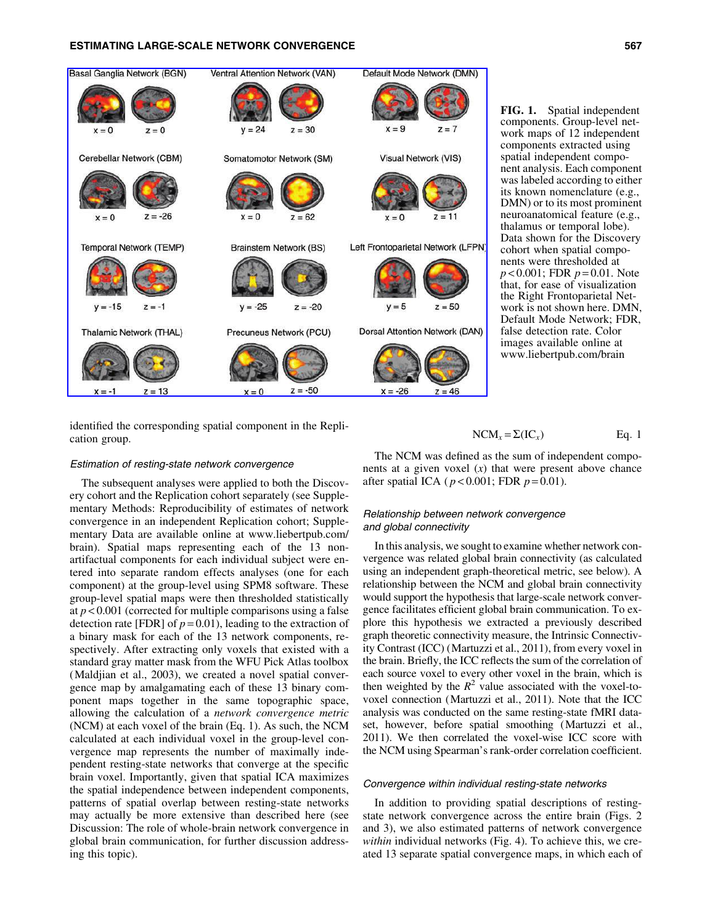## ESTIMATING LARGE-SCALE NETWORK CONVERGENCE 567



FIG. 1. Spatial independent components. Group-level network maps of 12 independent components extracted using spatial independent component analysis. Each component was labeled according to either its known nomenclature (e.g., DMN) or to its most prominent neuroanatomical feature (e.g., thalamus or temporal lobe). Data shown for the Discovery cohort when spatial components were thresholded at *p* < 0.001; FDR *p* = 0.01. Note that, for ease of visualization the Right Frontoparietal Network is not shown here. DMN, Default Mode Network; FDR, false detection rate. Color images available online at www.liebertpub.com/brain

identified the corresponding spatial component in the Replication group.

#### Estimation of resting-state network convergence

The subsequent analyses were applied to both the Discovery cohort and the Replication cohort separately (see Supplementary Methods: Reproducibility of estimates of network convergence in an independent Replication cohort; Supplementary Data are available online at www.liebertpub.com/ brain). Spatial maps representing each of the 13 nonartifactual components for each individual subject were entered into separate random effects analyses (one for each component) at the group-level using SPM8 software. These group-level spatial maps were then thresholded statistically at  $p < 0.001$  (corrected for multiple comparisons using a false detection rate [FDR] of  $p = 0.01$ ), leading to the extraction of a binary mask for each of the 13 network components, respectively. After extracting only voxels that existed with a standard gray matter mask from the WFU Pick Atlas toolbox (Maldjian et al., 2003), we created a novel spatial convergence map by amalgamating each of these 13 binary component maps together in the same topographic space, allowing the calculation of a *network convergence metric* (NCM) at each voxel of the brain (Eq. 1). As such, the NCM calculated at each individual voxel in the group-level convergence map represents the number of maximally independent resting-state networks that converge at the specific brain voxel. Importantly, given that spatial ICA maximizes the spatial independence between independent components, patterns of spatial overlap between resting-state networks may actually be more extensive than described here (see Discussion: The role of whole-brain network convergence in global brain communication, for further discussion addressing this topic).

 $NCM_x = \Sigma (IC_x)$  Eq. 1

The NCM was defined as the sum of independent components at a given voxel (*x*) that were present above chance after spatial ICA ( *p* < 0.001; FDR *p* = 0.01).

## Relationship between network convergence and global connectivity

In this analysis, we sought to examine whether network convergence was related global brain connectivity (as calculated using an independent graph-theoretical metric, see below). A relationship between the NCM and global brain connectivity would support the hypothesis that large-scale network convergence facilitates efficient global brain communication. To explore this hypothesis we extracted a previously described graph theoretic connectivity measure, the Intrinsic Connectivity Contrast (ICC) (Martuzzi et al., 2011), from every voxel in the brain. Briefly, the ICC reflects the sum of the correlation of each source voxel to every other voxel in the brain, which is then weighted by the  $R^2$  value associated with the voxel-tovoxel connection (Martuzzi et al., 2011). Note that the ICC analysis was conducted on the same resting-state fMRI dataset, however, before spatial smoothing (Martuzzi et al., 2011). We then correlated the voxel-wise ICC score with the NCM using Spearman's rank-order correlation coefficient.

#### Convergence within individual resting-state networks

In addition to providing spatial descriptions of restingstate network convergence across the entire brain (Figs. 2 and 3), we also estimated patterns of network convergence *within* individual networks (Fig. 4). To achieve this, we created 13 separate spatial convergence maps, in which each of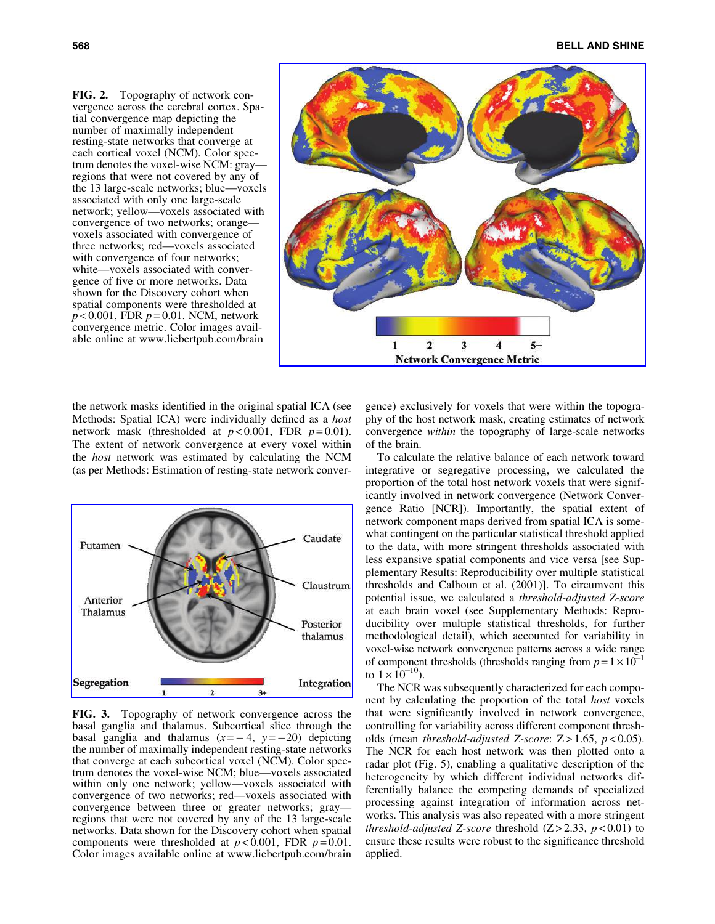FIG. 2. Topography of network convergence across the cerebral cortex. Spatial convergence map depicting the number of maximally independent resting-state networks that converge at each cortical voxel (NCM). Color spectrum denotes the voxel-wise NCM: gray regions that were not covered by any of the 13 large-scale networks; blue—voxels associated with only one large-scale network; yellow—voxels associated with convergence of two networks; orange voxels associated with convergence of three networks; red—voxels associated with convergence of four networks; white—voxels associated with convergence of five or more networks. Data shown for the Discovery cohort when spatial components were thresholded at *p* < 0.001, FDR *p* = 0.01. NCM, network convergence metric. Color images available online at www.liebertpub.com/brain



the network masks identified in the original spatial ICA (see Methods: Spatial ICA) were individually defined as a *host* network mask (thresholded at  $p < 0.001$ , FDR  $p = 0.01$ ). The extent of network convergence at every voxel within the *host* network was estimated by calculating the NCM (as per Methods: Estimation of resting-state network conver-



FIG. 3. Topography of network convergence across the basal ganglia and thalamus. Subcortical slice through the basal ganglia and thalamus  $(x=-4, y=-20)$  depicting the number of maximally independent resting-state networks that converge at each subcortical voxel (NCM). Color spectrum denotes the voxel-wise NCM; blue—voxels associated within only one network; yellow—voxels associated with convergence of two networks; red—voxels associated with convergence between three or greater networks; gray regions that were not covered by any of the 13 large-scale networks. Data shown for the Discovery cohort when spatial components were thresholded at  $p < 0.001$ , FDR  $p = 0.01$ . Color images available online at www.liebertpub.com/brain

gence) exclusively for voxels that were within the topography of the host network mask, creating estimates of network convergence *within* the topography of large-scale networks of the brain.

To calculate the relative balance of each network toward integrative or segregative processing, we calculated the proportion of the total host network voxels that were significantly involved in network convergence (Network Convergence Ratio [NCR]). Importantly, the spatial extent of network component maps derived from spatial ICA is somewhat contingent on the particular statistical threshold applied to the data, with more stringent thresholds associated with less expansive spatial components and vice versa [see Supplementary Results: Reproducibility over multiple statistical thresholds and Calhoun et al. (2001)]. To circumvent this potential issue, we calculated a *threshold-adjusted Z-score* at each brain voxel (see Supplementary Methods: Reproducibility over multiple statistical thresholds, for further methodological detail), which accounted for variability in voxel-wise network convergence patterns across a wide range of component thresholds (thresholds ranging from  $p = 1 \times 10^{-1}$ to  $1 \times 10^{-10}$ ).

The NCR was subsequently characterized for each component by calculating the proportion of the total *host* voxels that were significantly involved in network convergence, controlling for variability across different component thresholds (mean *threshold-adjusted Z-score*: Z > 1.65, *p* < 0.05). The NCR for each host network was then plotted onto a radar plot (Fig. 5), enabling a qualitative description of the heterogeneity by which different individual networks differentially balance the competing demands of specialized processing against integration of information across networks. This analysis was also repeated with a more stringent *threshold-adjusted Z-score* threshold  $(Z > 2.33, p < 0.01)$  to ensure these results were robust to the significance threshold applied.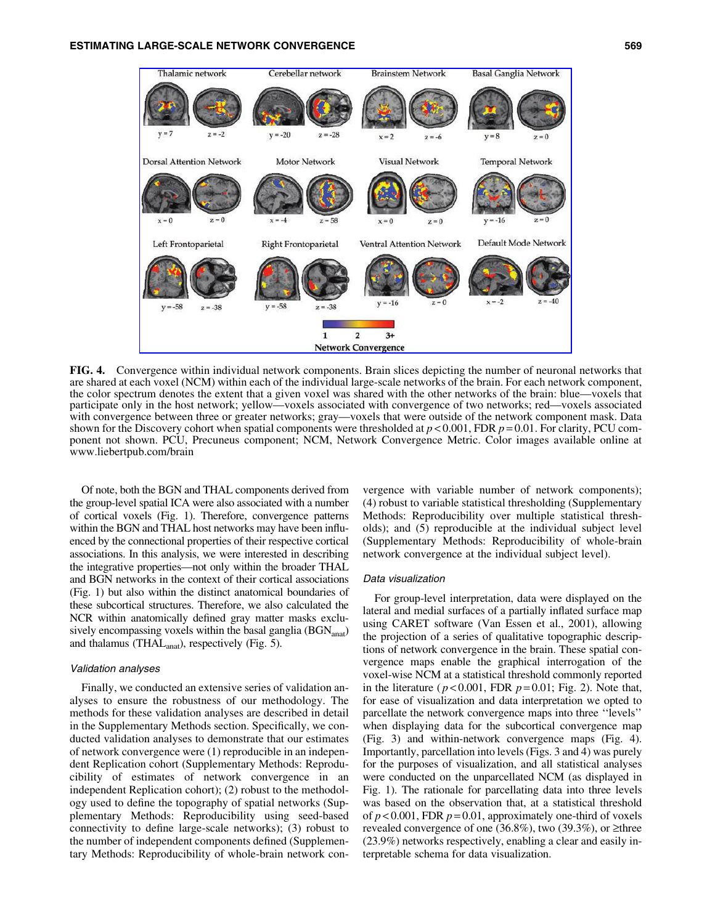

FIG. 4. Convergence within individual network components. Brain slices depicting the number of neuronal networks that are shared at each voxel (NCM) within each of the individual large-scale networks of the brain. For each network component, the color spectrum denotes the extent that a given voxel was shared with the other networks of the brain: blue—voxels that participate only in the host network; yellow—voxels associated with convergence of two networks; red—voxels associated with convergence between three or greater networks; gray—voxels that were outside of the network component mask. Data shown for the Discovery cohort when spatial components were thresholded at  $p < 0.001$ , FDR  $p = 0.01$ . For clarity, PCU component not shown. PCU, Precuneus component; NCM, Network Convergence Metric. Color images available online at www.liebertpub.com/brain

Of note, both the BGN and THAL components derived from the group-level spatial ICA were also associated with a number of cortical voxels (Fig. 1). Therefore, convergence patterns within the BGN and THAL host networks may have been influenced by the connectional properties of their respective cortical associations. In this analysis, we were interested in describing the integrative properties—not only within the broader THAL and BGN networks in the context of their cortical associations (Fig. 1) but also within the distinct anatomical boundaries of these subcortical structures. Therefore, we also calculated the NCR within anatomically defined gray matter masks exclusively encompassing voxels within the basal ganglia  $(BGN_{\text{anat}})$ and thalamus (THA $L_{\text{anat}}$ ), respectively (Fig. 5).

#### Validation analyses

Finally, we conducted an extensive series of validation analyses to ensure the robustness of our methodology. The methods for these validation analyses are described in detail in the Supplementary Methods section. Specifically, we conducted validation analyses to demonstrate that our estimates of network convergence were (1) reproducible in an independent Replication cohort (Supplementary Methods: Reproducibility of estimates of network convergence in an independent Replication cohort); (2) robust to the methodology used to define the topography of spatial networks (Supplementary Methods: Reproducibility using seed-based connectivity to define large-scale networks); (3) robust to the number of independent components defined (Supplementary Methods: Reproducibility of whole-brain network convergence with variable number of network components); (4) robust to variable statistical thresholding (Supplementary Methods: Reproducibility over multiple statistical thresholds); and (5) reproducible at the individual subject level (Supplementary Methods: Reproducibility of whole-brain network convergence at the individual subject level).

#### Data visualization

For group-level interpretation, data were displayed on the lateral and medial surfaces of a partially inflated surface map using CARET software (Van Essen et al., 2001), allowing the projection of a series of qualitative topographic descriptions of network convergence in the brain. These spatial convergence maps enable the graphical interrogation of the voxel-wise NCM at a statistical threshold commonly reported in the literature ( $p < 0.001$ , FDR  $p = 0.01$ ; Fig. 2). Note that, for ease of visualization and data interpretation we opted to parcellate the network convergence maps into three ''levels'' when displaying data for the subcortical convergence map (Fig. 3) and within-network convergence maps (Fig. 4). Importantly, parcellation into levels (Figs. 3 and 4) was purely for the purposes of visualization, and all statistical analyses were conducted on the unparcellated NCM (as displayed in Fig. 1). The rationale for parcellating data into three levels was based on the observation that, at a statistical threshold of  $p < 0.001$ , FDR  $p = 0.01$ , approximately one-third of voxels revealed convergence of one (36.8%), two (39.3%), or  $\geq$ three (23.9%) networks respectively, enabling a clear and easily interpretable schema for data visualization.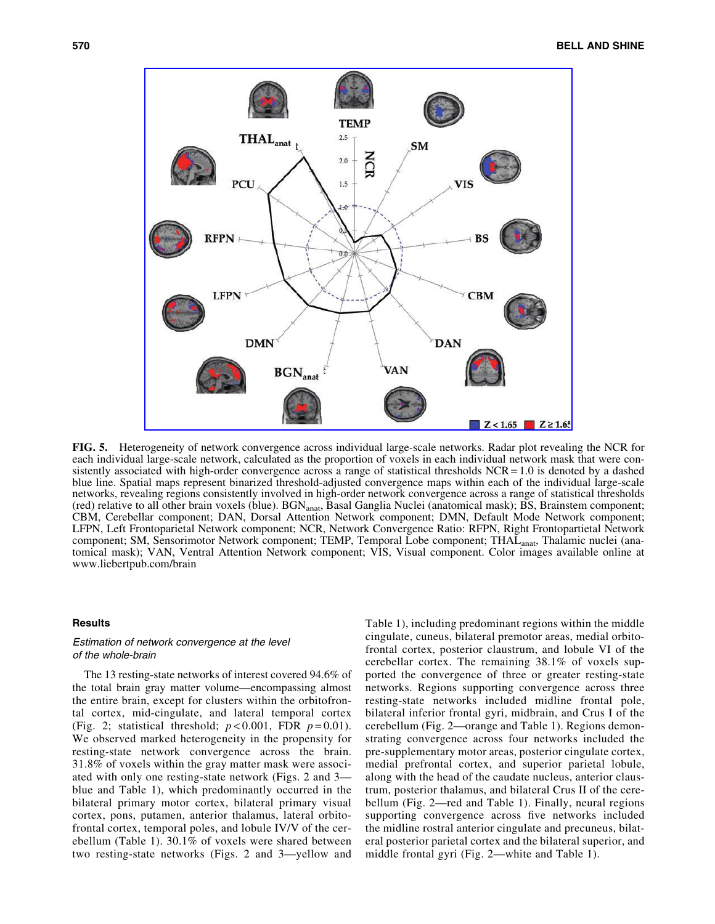

FIG. 5. Heterogeneity of network convergence across individual large-scale networks. Radar plot revealing the NCR for each individual large-scale network, calculated as the proportion of voxels in each individual network mask that were consistently associated with high-order convergence across a range of statistical thresholds NCR = 1.0 is denoted by a dashed blue line. Spatial maps represent binarized threshold-adjusted convergence maps within each of the individual large-scale networks, revealing regions consistently involved in high-order network convergence across a range of statistical thresholds (red) relative to all other brain voxels (blue). BGN<sub>anat</sub>, Basal Ganglia Nuclei (anatomical mask); BS, Brainstem component; CBM, Cerebellar component; DAN, Dorsal Attention Network component; DMN, Default Mode Network component; LFPN, Left Frontoparietal Network component; NCR, Network Convergence Ratio: RFPN, Right Frontopartietal Network component; SM, Sensorimotor Network component; TEMP, Temporal Lobe component; THAL<sub>anat</sub>, Thalamic nuclei (anatomical mask); VAN, Ventral Attention Network component; VIS, Visual component. Color images available online at www.liebertpub.com/brain

#### **Results**

#### Estimation of network convergence at the level of the whole-brain

The 13 resting-state networks of interest covered 94.6% of the total brain gray matter volume—encompassing almost the entire brain, except for clusters within the orbitofrontal cortex, mid-cingulate, and lateral temporal cortex (Fig. 2; statistical threshold;  $p < 0.001$ , FDR  $p = 0.01$ ). We observed marked heterogeneity in the propensity for resting-state network convergence across the brain. 31.8% of voxels within the gray matter mask were associated with only one resting-state network (Figs. 2 and 3 blue and Table 1), which predominantly occurred in the bilateral primary motor cortex, bilateral primary visual cortex, pons, putamen, anterior thalamus, lateral orbitofrontal cortex, temporal poles, and lobule IV/V of the cerebellum (Table 1). 30.1% of voxels were shared between two resting-state networks (Figs. 2 and 3—yellow and Table 1), including predominant regions within the middle cingulate, cuneus, bilateral premotor areas, medial orbitofrontal cortex, posterior claustrum, and lobule VI of the cerebellar cortex. The remaining 38.1% of voxels supported the convergence of three or greater resting-state networks. Regions supporting convergence across three resting-state networks included midline frontal pole, bilateral inferior frontal gyri, midbrain, and Crus I of the cerebellum (Fig. 2—orange and Table 1). Regions demonstrating convergence across four networks included the pre-supplementary motor areas, posterior cingulate cortex, medial prefrontal cortex, and superior parietal lobule, along with the head of the caudate nucleus, anterior claustrum, posterior thalamus, and bilateral Crus II of the cerebellum (Fig. 2—red and Table 1). Finally, neural regions supporting convergence across five networks included the midline rostral anterior cingulate and precuneus, bilateral posterior parietal cortex and the bilateral superior, and middle frontal gyri (Fig. 2—white and Table 1).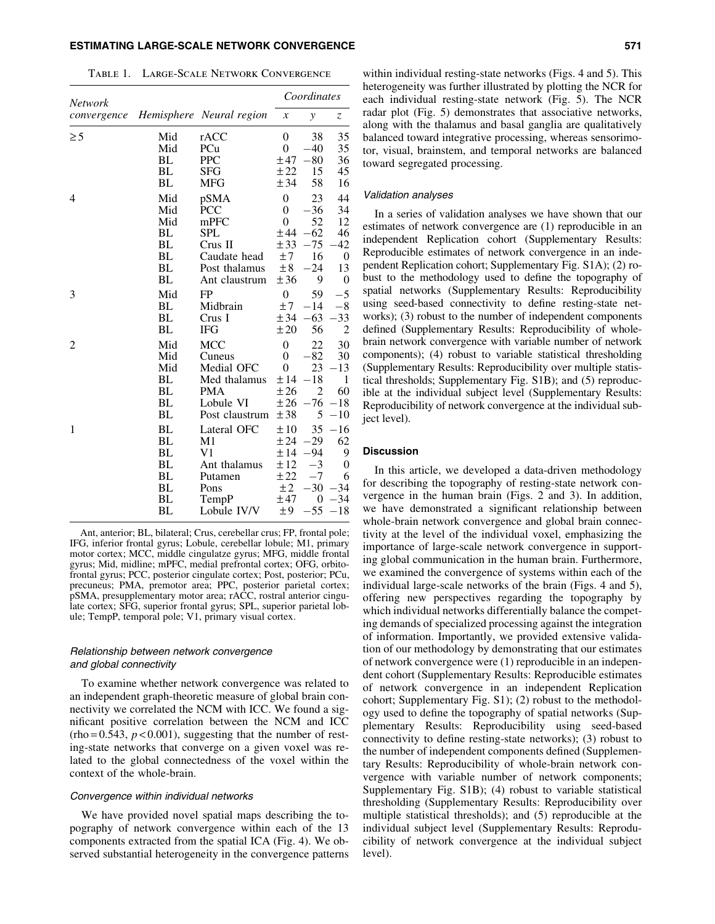## ESTIMATING LARGE-SCALE NETWORK CONVERGENCE 571

Table 1. Large-Scale Network Convergence

| Network     |           |                          | Coordinates      |                |                |
|-------------|-----------|--------------------------|------------------|----------------|----------------|
| convergence |           | Hemisphere Neural region | $\boldsymbol{x}$ | y              | Z              |
| $\geq 5$    | Mid       | rACC                     | $\overline{0}$   | 38             | 35             |
|             | Mid       | PCu                      | $\theta$         | 40             | 35             |
|             | BL        | <b>PPC</b>               | ±47              | $-80$          | 36             |
|             | BL        | SFG                      | ±22              | 15             | 45             |
|             | BL        | <b>MFG</b>               | ± 34             | 58             | 16             |
| 4           | Mid       | pSMA                     | $\overline{0}$   | 23             | 44             |
|             | Mid       | <b>PCC</b>               | $\theta$         | $-36$          | 34             |
|             | Mid       | $m$ PFC                  | $\theta$         | 52             | 12             |
|             | BL        | SPL                      | ±44              | $-62$          | 46             |
|             | BL        | $Crus$ II                | ± 33             | $-75$          | 42             |
|             | BL        | Caudate head             | ±7               | 16             | 0              |
|             | BL        | Post thalamus            | ±8               | $-24$          | 13             |
|             | BL        | Ant claustrum            | ±36              | 9              | 0              |
| 3           | Mid       | FP                       | $\theta$         | 59             | $-5$           |
|             | BL        | Midbrain                 | ±7               | $-14$          | $-8$           |
|             | BL        | Crus I                   | ± 34             | $-63$          | $-33$          |
|             | BL        | <b>IFG</b>               | ±20              | 56             | $\overline{2}$ |
| 2           | Mid       | <b>MCC</b>               | $\overline{0}$   | 22             | 30             |
|             | Mid       | Cuneus                   | $\overline{0}$   | -82            | 30             |
|             | Mid       | Medial OFC               | $\overline{0}$   | 23             | $-13$          |
|             | BL        | Med thalamus             | ±14              | $^{-18}$       | 1              |
|             | BL        | <b>PMA</b>               | ±26              | $\overline{c}$ | 60             |
|             | BL        | Lobule VI                | ±26              | -76            | $-18$          |
|             | BL        | Post claustrum           | ±38              | 5              | $-10$          |
| 1           | BL        | Lateral OFC              | ±10              | 35             | $-16$          |
|             | BL        | M1                       | ± 24             | $-29$          | 62             |
|             | <b>BL</b> | V1                       | ±14              | $-94$          | 9              |
|             | BL        | Ant thalamus             | ±12              | -3             | 0              |
|             | BL        | Putamen                  | ±22              | $-7$           | 6              |
|             | BL        | Pons                     | ±2               | $-30$          | -34            |
|             | BL        | TempP                    | ±47              | 0              | -34            |
|             | BL        | Lobule IV/V              | ±9               | $-55$          | $-18$          |

Ant, anterior; BL, bilateral; Crus, cerebellar crus; FP, frontal pole; IFG, inferior frontal gyrus; Lobule, cerebellar lobule; M1, primary motor cortex; MCC, middle cingulatze gyrus; MFG, middle frontal gyrus; Mid, midline; mPFC, medial prefrontal cortex; OFG, orbitofrontal gyrus; PCC, posterior cingulate cortex; Post, posterior; PCu, precuneus; PMA, premotor area; PPC, posterior parietal cortex; pSMA, presupplementary motor area; rACC, rostral anterior cingulate cortex; SFG, superior frontal gyrus; SPL, superior parietal lobule; TempP, temporal pole; V1, primary visual cortex.

## Relationship between network convergence and global connectivity

To examine whether network convergence was related to an independent graph-theoretic measure of global brain connectivity we correlated the NCM with ICC. We found a significant positive correlation between the NCM and ICC  $(rho = 0.543, p < 0.001)$ , suggesting that the number of resting-state networks that converge on a given voxel was related to the global connectedness of the voxel within the context of the whole-brain.

## Convergence within individual networks

We have provided novel spatial maps describing the topography of network convergence within each of the 13 components extracted from the spatial ICA (Fig. 4). We observed substantial heterogeneity in the convergence patterns within individual resting-state networks (Figs. 4 and 5). This heterogeneity was further illustrated by plotting the NCR for each individual resting-state network (Fig. 5). The NCR radar plot (Fig. 5) demonstrates that associative networks, along with the thalamus and basal ganglia are qualitatively balanced toward integrative processing, whereas sensorimotor, visual, brainstem, and temporal networks are balanced toward segregated processing.

## Validation analyses

In a series of validation analyses we have shown that our estimates of network convergence are (1) reproducible in an independent Replication cohort (Supplementary Results: Reproducible estimates of network convergence in an independent Replication cohort; Supplementary Fig. S1A); (2) robust to the methodology used to define the topography of spatial networks (Supplementary Results: Reproducibility using seed-based connectivity to define resting-state networks); (3) robust to the number of independent components defined (Supplementary Results: Reproducibility of wholebrain network convergence with variable number of network components); (4) robust to variable statistical thresholding (Supplementary Results: Reproducibility over multiple statistical thresholds; Supplementary Fig. S1B); and (5) reproducible at the individual subject level (Supplementary Results: Reproducibility of network convergence at the individual subject level).

#### **Discussion**

In this article, we developed a data-driven methodology for describing the topography of resting-state network convergence in the human brain (Figs. 2 and 3). In addition, we have demonstrated a significant relationship between whole-brain network convergence and global brain connectivity at the level of the individual voxel, emphasizing the importance of large-scale network convergence in supporting global communication in the human brain. Furthermore, we examined the convergence of systems within each of the individual large-scale networks of the brain (Figs. 4 and 5), offering new perspectives regarding the topography by which individual networks differentially balance the competing demands of specialized processing against the integration of information. Importantly, we provided extensive validation of our methodology by demonstrating that our estimates of network convergence were (1) reproducible in an independent cohort (Supplementary Results: Reproducible estimates of network convergence in an independent Replication cohort; Supplementary Fig. S1); (2) robust to the methodology used to define the topography of spatial networks (Supplementary Results: Reproducibility using seed-based connectivity to define resting-state networks); (3) robust to the number of independent components defined (Supplementary Results: Reproducibility of whole-brain network convergence with variable number of network components; Supplementary Fig. S1B); (4) robust to variable statistical thresholding (Supplementary Results: Reproducibility over multiple statistical thresholds); and (5) reproducible at the individual subject level (Supplementary Results: Reproducibility of network convergence at the individual subject level).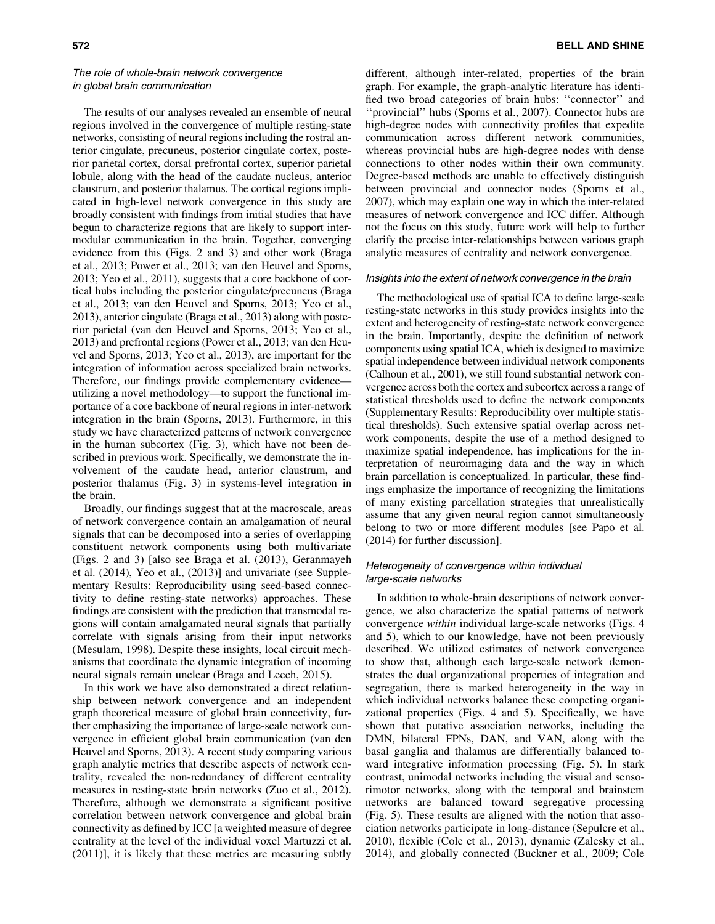## The role of whole-brain network convergence in global brain communication

The results of our analyses revealed an ensemble of neural regions involved in the convergence of multiple resting-state networks, consisting of neural regions including the rostral anterior cingulate, precuneus, posterior cingulate cortex, posterior parietal cortex, dorsal prefrontal cortex, superior parietal lobule, along with the head of the caudate nucleus, anterior claustrum, and posterior thalamus. The cortical regions implicated in high-level network convergence in this study are broadly consistent with findings from initial studies that have begun to characterize regions that are likely to support intermodular communication in the brain. Together, converging evidence from this (Figs. 2 and 3) and other work (Braga et al., 2013; Power et al., 2013; van den Heuvel and Sporns, 2013; Yeo et al., 2011), suggests that a core backbone of cortical hubs including the posterior cingulate/precuneus (Braga et al., 2013; van den Heuvel and Sporns, 2013; Yeo et al., 2013), anterior cingulate (Braga et al., 2013) along with posterior parietal (van den Heuvel and Sporns, 2013; Yeo et al., 2013) and prefrontal regions (Power et al., 2013; van den Heuvel and Sporns, 2013; Yeo et al., 2013), are important for the integration of information across specialized brain networks. Therefore, our findings provide complementary evidence utilizing a novel methodology—to support the functional importance of a core backbone of neural regions in inter-network integration in the brain (Sporns, 2013). Furthermore, in this study we have characterized patterns of network convergence in the human subcortex (Fig. 3), which have not been described in previous work. Specifically, we demonstrate the involvement of the caudate head, anterior claustrum, and posterior thalamus (Fig. 3) in systems-level integration in the brain.

Broadly, our findings suggest that at the macroscale, areas of network convergence contain an amalgamation of neural signals that can be decomposed into a series of overlapping constituent network components using both multivariate (Figs. 2 and 3) [also see Braga et al. (2013), Geranmayeh et al. (2014), Yeo et al., (2013)] and univariate (see Supplementary Results: Reproducibility using seed-based connectivity to define resting-state networks) approaches. These findings are consistent with the prediction that transmodal regions will contain amalgamated neural signals that partially correlate with signals arising from their input networks (Mesulam, 1998). Despite these insights, local circuit mechanisms that coordinate the dynamic integration of incoming neural signals remain unclear (Braga and Leech, 2015).

In this work we have also demonstrated a direct relationship between network convergence and an independent graph theoretical measure of global brain connectivity, further emphasizing the importance of large-scale network convergence in efficient global brain communication (van den Heuvel and Sporns, 2013). A recent study comparing various graph analytic metrics that describe aspects of network centrality, revealed the non-redundancy of different centrality measures in resting-state brain networks (Zuo et al., 2012). Therefore, although we demonstrate a significant positive correlation between network convergence and global brain connectivity as defined by ICC [a weighted measure of degree centrality at the level of the individual voxel Martuzzi et al. (2011)], it is likely that these metrics are measuring subtly different, although inter-related, properties of the brain graph. For example, the graph-analytic literature has identified two broad categories of brain hubs: ''connector'' and ''provincial'' hubs (Sporns et al., 2007). Connector hubs are high-degree nodes with connectivity profiles that expedite communication across different network communities, whereas provincial hubs are high-degree nodes with dense connections to other nodes within their own community. Degree-based methods are unable to effectively distinguish between provincial and connector nodes (Sporns et al., 2007), which may explain one way in which the inter-related measures of network convergence and ICC differ. Although not the focus on this study, future work will help to further clarify the precise inter-relationships between various graph analytic measures of centrality and network convergence.

#### Insights into the extent of network convergence in the brain

The methodological use of spatial ICA to define large-scale resting-state networks in this study provides insights into the extent and heterogeneity of resting-state network convergence in the brain. Importantly, despite the definition of network components using spatial ICA, which is designed to maximize spatial independence between individual network components (Calhoun et al., 2001), we still found substantial network convergence across both the cortex and subcortex across a range of statistical thresholds used to define the network components (Supplementary Results: Reproducibility over multiple statistical thresholds). Such extensive spatial overlap across network components, despite the use of a method designed to maximize spatial independence, has implications for the interpretation of neuroimaging data and the way in which brain parcellation is conceptualized. In particular, these findings emphasize the importance of recognizing the limitations of many existing parcellation strategies that unrealistically assume that any given neural region cannot simultaneously belong to two or more different modules [see Papo et al. (2014) for further discussion].

## Heterogeneity of convergence within individual large-scale networks

In addition to whole-brain descriptions of network convergence, we also characterize the spatial patterns of network convergence *within* individual large-scale networks (Figs. 4 and 5), which to our knowledge, have not been previously described. We utilized estimates of network convergence to show that, although each large-scale network demonstrates the dual organizational properties of integration and segregation, there is marked heterogeneity in the way in which individual networks balance these competing organizational properties (Figs. 4 and 5). Specifically, we have shown that putative association networks, including the DMN, bilateral FPNs, DAN, and VAN, along with the basal ganglia and thalamus are differentially balanced toward integrative information processing (Fig. 5). In stark contrast, unimodal networks including the visual and sensorimotor networks, along with the temporal and brainstem networks are balanced toward segregative processing (Fig. 5). These results are aligned with the notion that association networks participate in long-distance (Sepulcre et al., 2010), flexible (Cole et al., 2013), dynamic (Zalesky et al., 2014), and globally connected (Buckner et al., 2009; Cole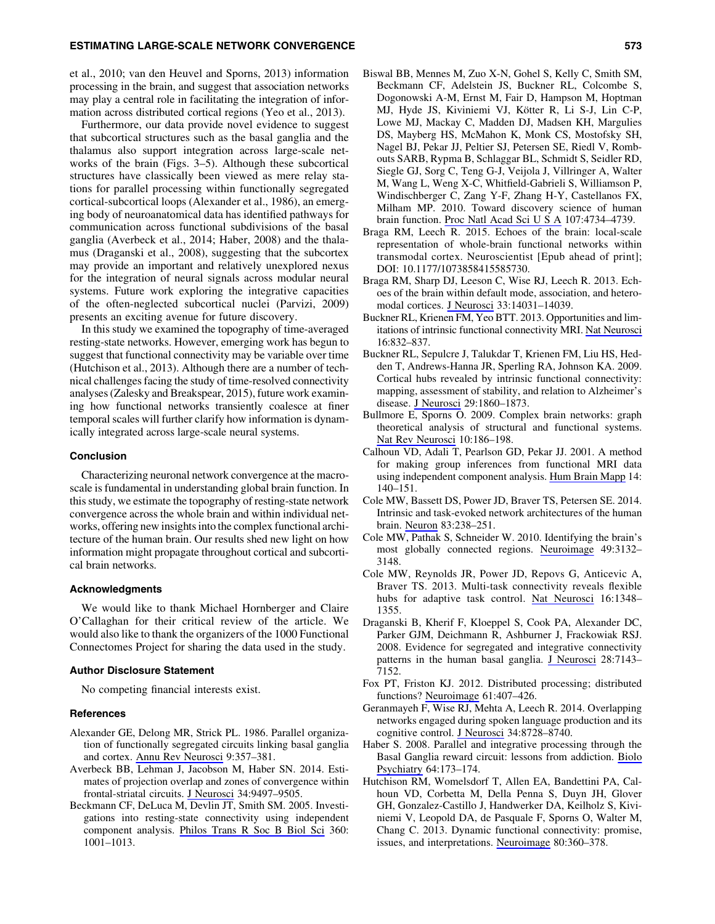#### ESTIMATING LARGE-SCALE NETWORK CONVERGENCE 573

et al., 2010; van den Heuvel and Sporns, 2013) information processing in the brain, and suggest that association networks may play a central role in facilitating the integration of information across distributed cortical regions (Yeo et al., 2013).

Furthermore, our data provide novel evidence to suggest that subcortical structures such as the basal ganglia and the thalamus also support integration across large-scale networks of the brain (Figs. 3–5). Although these subcortical structures have classically been viewed as mere relay stations for parallel processing within functionally segregated cortical-subcortical loops (Alexander et al., 1986), an emerging body of neuroanatomical data has identified pathways for communication across functional subdivisions of the basal ganglia (Averbeck et al., 2014; Haber, 2008) and the thalamus (Draganski et al., 2008), suggesting that the subcortex may provide an important and relatively unexplored nexus for the integration of neural signals across modular neural systems. Future work exploring the integrative capacities of the often-neglected subcortical nuclei (Parvizi, 2009) presents an exciting avenue for future discovery.

In this study we examined the topography of time-averaged resting-state networks. However, emerging work has begun to suggest that functional connectivity may be variable over time (Hutchison et al., 2013). Although there are a number of technical challenges facing the study of time-resolved connectivity analyses (Zalesky and Breakspear, 2015), future work examining how functional networks transiently coalesce at finer temporal scales will further clarify how information is dynamically integrated across large-scale neural systems.

#### Conclusion

Characterizing neuronal network convergence at the macroscale is fundamental in understanding global brain function. In this study, we estimate the topography of resting-state network convergence across the whole brain and within individual networks, offering new insights into the complex functional architecture of the human brain. Our results shed new light on how information might propagate throughout cortical and subcortical brain networks.

#### Acknowledgments

We would like to thank Michael Hornberger and Claire O'Callaghan for their critical review of the article. We would also like to thank the organizers of the 1000 Functional Connectomes Project for sharing the data used in the study.

#### Author Disclosure Statement

No competing financial interests exist.

#### **References**

- Alexander GE, Delong MR, Strick PL. 1986. Parallel organization of functionally segregated circuits linking basal ganglia and cortex. [Annu Rev Neurosci](http://online.liebertpub.com/action/showLinks?pmid=3085570&crossref=10.1146%2Fannurev.ne.09.030186.002041) 9:357–381.
- Averbeck BB, Lehman J, Jacobson M, Haber SN. 2014. Estimates of projection overlap and zones of convergence within frontal-striatal circuits. [J Neurosci](http://online.liebertpub.com/action/showLinks?pmid=25031393&crossref=10.1523%2FJNEUROSCI.5806-12.2014) 34:9497–9505.
- Beckmann CF, DeLuca M, Devlin JT, Smith SM. 2005. Investigations into resting-state connectivity using independent component analysis. [Philos Trans R Soc B Biol Sci](http://online.liebertpub.com/action/showLinks?pmid=16087444&crossref=10.1098%2Frstb.2005.1634) 360: 1001–1013.
- Biswal BB, Mennes M, Zuo X-N, Gohel S, Kelly C, Smith SM, Beckmann CF, Adelstein JS, Buckner RL, Colcombe S, Dogonowski A-M, Ernst M, Fair D, Hampson M, Hoptman MJ, Hyde JS, Kiviniemi VJ, Kötter R, Li S-J, Lin C-P, Lowe MJ, Mackay C, Madden DJ, Madsen KH, Margulies DS, Mayberg HS, McMahon K, Monk CS, Mostofsky SH, Nagel BJ, Pekar JJ, Peltier SJ, Petersen SE, Riedl V, Rombouts SARB, Rypma B, Schlaggar BL, Schmidt S, Seidler RD, Siegle GJ, Sorg C, Teng G-J, Veijola J, Villringer A, Walter M, Wang L, Weng X-C, Whitfield-Gabrieli S, Williamson P, Windischberger C, Zang Y-F, Zhang H-Y, Castellanos FX, Milham MP. 2010. Toward discovery science of human brain function. [Proc Natl Acad Sci U S A](http://online.liebertpub.com/action/showLinks?pmid=20176931&crossref=10.1073%2Fpnas.0911855107) 107:4734–4739.
- Braga RM, Leech R. 2015. Echoes of the brain: local-scale representation of whole-brain functional networks within transmodal cortex. Neuroscientist [Epub ahead of print]; DOI: 10.1177/1073858415585730.
- Braga RM, Sharp DJ, Leeson C, Wise RJ, Leech R. 2013. Echoes of the brain within default mode, association, and heteromodal cortices. [J Neurosci](http://online.liebertpub.com/action/showLinks?pmid=23986239&crossref=10.1523%2FJNEUROSCI.0570-13.2013) 33:14031–14039.
- Buckner RL, Krienen FM, Yeo BTT. 2013. Opportunities and limitations of intrinsic functional connectivity MRI. [Nat Neurosci](http://online.liebertpub.com/action/showLinks?pmid=23799476&crossref=10.1038%2Fnn.3423) 16:832–837.
- Buckner RL, Sepulcre J, Talukdar T, Krienen FM, Liu HS, Hedden T, Andrews-Hanna JR, Sperling RA, Johnson KA. 2009. Cortical hubs revealed by intrinsic functional connectivity: mapping, assessment of stability, and relation to Alzheimer's disease. [J Neurosci](http://online.liebertpub.com/action/showLinks?pmid=19211893&crossref=Doi%3A10.1523%2FJNEUROSCI.5062-08.2009) 29:1860–1873.
- Bullmore E, Sporns O. 2009. Complex brain networks: graph theoretical analysis of structural and functional systems. [Nat Rev Neurosci](http://online.liebertpub.com/action/showLinks?pmid=19190637&crossref=10.1038%2Fnrn2575) 10:186–198.
- Calhoun VD, Adali T, Pearlson GD, Pekar JJ. 2001. A method for making group inferences from functional MRI data using independent component analysis. [Hum Brain Mapp](http://online.liebertpub.com/action/showLinks?pmid=11559959&crossref=10.1002%2Fhbm.1048) 14: 140–151.
- Cole MW, Bassett DS, Power JD, Braver TS, Petersen SE. 2014. Intrinsic and task-evoked network architectures of the human brain. [Neuron](http://online.liebertpub.com/action/showLinks?pmid=24991964&crossref=10.1016%2Fj.neuron.2014.05.014) 83:238–251.
- Cole MW, Pathak S, Schneider W. 2010. Identifying the brain's most globally connected regions. [Neuroimage](http://online.liebertpub.com/action/showLinks?pmid=19909818&crossref=10.1016%2Fj.neuroimage.2009.11.001) 49:3132– 3148.
- Cole MW, Reynolds JR, Power JD, Repovs G, Anticevic A, Braver TS. 2013. Multi-task connectivity reveals flexible hubs for adaptive task control. [Nat Neurosci](http://online.liebertpub.com/action/showLinks?pmid=23892552&crossref=10.1038%2Fnn.3470) 16:1348– 1355.
- Draganski B, Kherif F, Kloeppel S, Cook PA, Alexander DC, Parker GJM, Deichmann R, Ashburner J, Frackowiak RSJ. 2008. Evidence for segregated and integrative connectivity patterns in the human basal ganglia. [J Neurosci](http://online.liebertpub.com/action/showLinks?pmid=18614684&crossref=10.1523%2FJNEUROSCI.1486-08.2008) 28:7143-7152.
- Fox PT, Friston KJ. 2012. Distributed processing; distributed functions? [Neuroimage](http://online.liebertpub.com/action/showLinks?pmid=22245638&crossref=10.1016%2Fj.neuroimage.2011.12.051) 61:407–426.
- Geranmayeh F, Wise RJ, Mehta A, Leech R. 2014. Overlapping networks engaged during spoken language production and its cognitive control. [J Neurosci](http://online.liebertpub.com/action/showLinks?pmid=24966373&crossref=10.1523%2FJNEUROSCI.0428-14.2014) 34:8728–8740.
- Haber S. 2008. Parallel and integrative processing through the Basal Ganglia reward circuit: lessons from addiction. [Biolo](http://online.liebertpub.com/action/showLinks?pmid=18617023&crossref=10.1016%2Fj.biopsych.2008.05.033) [Psychiatry](http://online.liebertpub.com/action/showLinks?pmid=18617023&crossref=10.1016%2Fj.biopsych.2008.05.033) 64:173–174.
- Hutchison RM, Womelsdorf T, Allen EA, Bandettini PA, Calhoun VD, Corbetta M, Della Penna S, Duyn JH, Glover GH, Gonzalez-Castillo J, Handwerker DA, Keilholz S, Kiviniemi V, Leopold DA, de Pasquale F, Sporns O, Walter M, Chang C. 2013. Dynamic functional connectivity: promise, issues, and interpretations. [Neuroimage](http://online.liebertpub.com/action/showLinks?pmid=23707587&crossref=10.1016%2Fj.neuroimage.2013.05.079) 80:360–378.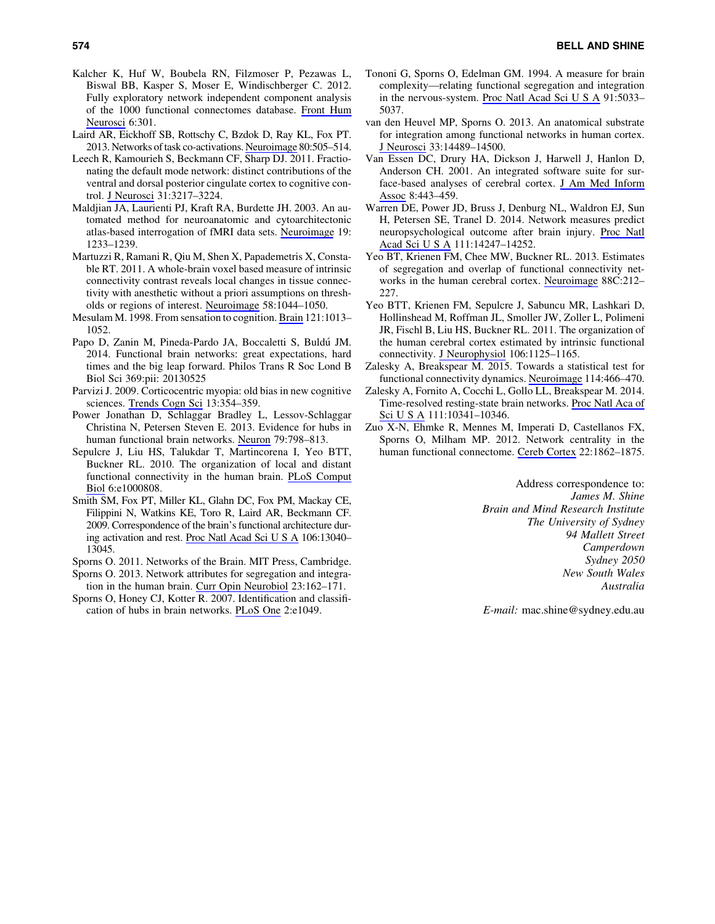- Kalcher K, Huf W, Boubela RN, Filzmoser P, Pezawas L, Biswal BB, Kasper S, Moser E, Windischberger C. 2012. Fully exploratory network independent component analysis of the 1000 functional connectomes database. [Front Hum](http://online.liebertpub.com/action/showLinks?pmid=23133413&crossref=10.3389%2Ffnhum.2012.00301) [Neurosci](http://online.liebertpub.com/action/showLinks?pmid=23133413&crossref=10.3389%2Ffnhum.2012.00301) 6:301.
- Laird AR, Eickhoff SB, Rottschy C, Bzdok D, Ray KL, Fox PT. 2013. Networks of task co-activations. [Neuroimage](http://online.liebertpub.com/action/showLinks?pmid=23631994&crossref=10.1016%2Fj.neuroimage.2013.04.073) 80:505–514.
- Leech R, Kamourieh S, Beckmann CF, Sharp DJ. 2011. Fractionating the default mode network: distinct contributions of the ventral and dorsal posterior cingulate cortex to cognitive control. [J Neurosci](http://online.liebertpub.com/action/showLinks?pmid=21368033&crossref=10.1523%2FJNEUROSCI.5626-10.2011) 31:3217–3224.
- Maldjian JA, Laurienti PJ, Kraft RA, Burdette JH. 2003. An automated method for neuroanatomic and cytoarchitectonic atlas-based interrogation of fMRI data sets. [Neuroimage](http://online.liebertpub.com/action/showLinks?pmid=12880848&crossref=10.1016%2FS1053-8119%2803%2900169-1) 19: 1233–1239.
- Martuzzi R, Ramani R, Qiu M, Shen X, Papademetris X, Constable RT. 2011. A whole-brain voxel based measure of intrinsic connectivity contrast reveals local changes in tissue connectivity with anesthetic without a priori assumptions on thresholds or regions of interest. [Neuroimage](http://online.liebertpub.com/action/showLinks?pmid=21763437&crossref=10.1016%2Fj.neuroimage.2011.06.075) 58:1044–1050.
- Mesulam M. 1998. From sensation to cognition. [Brain](http://online.liebertpub.com/action/showLinks?pmid=9648540&crossref=10.1093%2Fbrain%2F121.6.1013) 121:1013– 1052.
- Papo D, Zanin M, Pineda-Pardo JA, Boccaletti S, Buldú JM. 2014. Functional brain networks: great expectations, hard times and the big leap forward. Philos Trans R Soc Lond B Biol Sci 369:pii: 20130525
- Parvizi J. 2009. Corticocentric myopia: old bias in new cognitive sciences. [Trends Cogn Sci](http://online.liebertpub.com/action/showLinks?pmid=19595625&crossref=10.1016%2Fj.tics.2009.04.008) 13:354–359.
- Power Jonathan D, Schlaggar Bradley L, Lessov-Schlaggar Christina N, Petersen Steven E. 2013. Evidence for hubs in human functional brain networks. [Neuron](http://online.liebertpub.com/action/showLinks?pmid=23972601&crossref=10.1016%2Fj.neuron.2013.07.035) 79:798–813.
- Sepulcre J, Liu HS, Talukdar T, Martincorena I, Yeo BTT, Buckner RL. 2010. The organization of local and distant functional connectivity in the human brain. [PLoS Comput](http://online.liebertpub.com/action/showLinks?pmid=20548945&crossref=10.1371%2Fjournal.pcbi.1000808) [Biol](http://online.liebertpub.com/action/showLinks?pmid=20548945&crossref=10.1371%2Fjournal.pcbi.1000808) 6:e1000808.
- Smith SM, Fox PT, Miller KL, Glahn DC, Fox PM, Mackay CE, Filippini N, Watkins KE, Toro R, Laird AR, Beckmann CF. 2009. Correspondence of the brain's functional architecture during activation and rest. [Proc Natl Acad Sci U S A](http://online.liebertpub.com/action/showLinks?pmid=19620724&crossref=10.1073%2Fpnas.0905267106) 106:13040– 13045.
- Sporns O. 2011. Networks of the Brain. MIT Press, Cambridge.
- Sporns O. 2013. Network attributes for segregation and integration in the human brain. [Curr Opin Neurobiol](http://online.liebertpub.com/action/showLinks?pmid=23294553&crossref=10.1016%2Fj.conb.2012.11.015) 23:162–171.
- Sporns O, Honey CJ, Kotter R. 2007. Identification and classification of hubs in brain networks. [PLoS One](http://online.liebertpub.com/action/showLinks?pmid=17940613&crossref=10.1371%2Fjournal.pone.0001049) 2:e1049.
- Tononi G, Sporns O, Edelman GM. 1994. A measure for brain complexity—relating functional segregation and integration in the nervous-system. [Proc Natl Acad Sci U S A](http://online.liebertpub.com/action/showLinks?pmid=8197179&crossref=10.1073%2Fpnas.91.11.5033) 91:5033– 5037.
- van den Heuvel MP, Sporns O. 2013. An anatomical substrate for integration among functional networks in human cortex. [J Neurosci](http://online.liebertpub.com/action/showLinks?pmid=24005300&crossref=10.1523%2FJNEUROSCI.2128-13.2013) 33:14489–14500.
- Van Essen DC, Drury HA, Dickson J, Harwell J, Hanlon D, Anderson CH. 2001. An integrated software suite for surface-based analyses of cerebral cortex. [J Am Med Inform](http://online.liebertpub.com/action/showLinks?pmid=11522765&crossref=10.1136%2Fjamia.2001.0080443) [Assoc](http://online.liebertpub.com/action/showLinks?pmid=11522765&crossref=10.1136%2Fjamia.2001.0080443) 8:443–459.
- Warren DE, Power JD, Bruss J, Denburg NL, Waldron EJ, Sun H, Petersen SE, Tranel D. 2014. Network measures predict neuropsychological outcome after brain injury. [Proc Natl](http://online.liebertpub.com/action/showLinks?pmid=25225403&crossref=10.1073%2Fpnas.1322173111) [Acad Sci U S A](http://online.liebertpub.com/action/showLinks?pmid=25225403&crossref=10.1073%2Fpnas.1322173111) 111:14247–14252.
- Yeo BT, Krienen FM, Chee MW, Buckner RL. 2013. Estimates of segregation and overlap of functional connectivity networks in the human cerebral cortex. [Neuroimage](http://online.liebertpub.com/action/showLinks?pmid=24185018) 88C:212– 227.
- Yeo BTT, Krienen FM, Sepulcre J, Sabuncu MR, Lashkari D, Hollinshead M, Roffman JL, Smoller JW, Zoller L, Polimeni JR, Fischl B, Liu HS, Buckner RL. 2011. The organization of the human cerebral cortex estimated by intrinsic functional connectivity. [J Neurophysiol](http://online.liebertpub.com/action/showLinks?pmid=21653723&crossref=10.1152%2Fjn.00338.2011) 106:1125–1165.
- Zalesky A, Breakspear M. 2015. Towards a statistical test for functional connectivity dynamics. [Neuroimage](http://online.liebertpub.com/action/showLinks?pmid=25818688&crossref=10.1016%2Fj.neuroimage.2015.03.047) 114:466–470.
- Zalesky A, Fornito A, Cocchi L, Gollo LL, Breakspear M. 2014. Time-resolved resting-state brain networks. [Proc Natl Aca of](http://online.liebertpub.com/action/showLinks?pmid=24982140&crossref=10.1073%2Fpnas.1400181111) [Sci U S A](http://online.liebertpub.com/action/showLinks?pmid=24982140&crossref=10.1073%2Fpnas.1400181111) 111:10341–10346.
- Zuo X-N, Ehmke R, Mennes M, Imperati D, Castellanos FX, Sporns O, Milham MP. 2012. Network centrality in the human functional connectome. [Cereb Cortex](http://online.liebertpub.com/action/showLinks?pmid=21968567&crossref=10.1093%2Fcercor%2Fbhr269) 22:1862–1875.

Address correspondence to: *James M. Shine Brain and Mind Research Institute The University of Sydney 94 Mallett Street Camperdown Sydney 2050 New South Wales Australia*

*E-mail:* mac.shine@sydney.edu.au